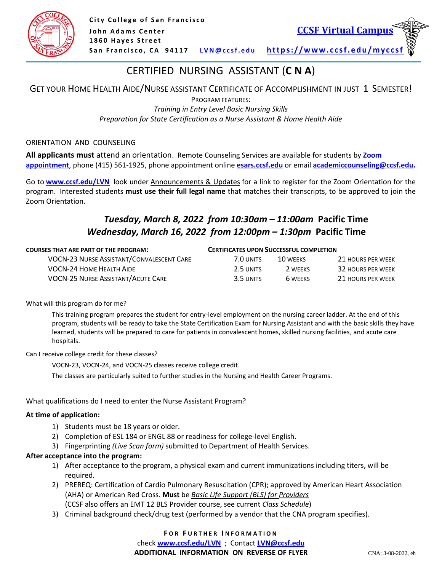

# CERTIFIED NURSING ASSISTANT (**C N A**)

### GET YOUR HOME HEALTH AIDE/NURSE ASSISTANT CERTIFICATE OF ACCOMPLISHMENT IN JUST 1 SEMESTER! PROGRAM FEATURES: *Training in Entry Level Basic Nursing Skills Preparation for State Certification as a Nurse Assistant & Home Health Aide*

#### ORIENTATION AND COUNSELING

**All applicants must** attend an orientation. Remote Counseling Services are available for students by **[Zoom](https://sites.google.com/mail.ccsf.edu/virtualcampus/student-services/academic-counseling)  [appointment](https://sites.google.com/mail.ccsf.edu/virtualcampus/student-services/academic-counseling)**, phone (415) 561-1925, phone appointment online **[esars.ccsf.edu](file:///C:/Users/cgull/Desktop/2020FL%20flyers/...BLACK%20Philip%20post%20online/2020FL%20flyers/2020FL%20flyers/esars.ccsf.edu)** or email **[academiccounseling@ccsf.edu.](mailto:academiccounseling@ccsf.edu)** I

Go to **[www.ccsf.edu/LVN](https://nam04.safelinks.protection.outlook.com/?url=http%3A%2F%2Fwww.ccsf.edu%2FLVN&data=02%7C01%7Cpchan%40ccsf.edu%7C28e34dabf0a048334f4f08d83d521ed9%7C5e0f22d68a16417ebf3ad081c98b38d8%7C0%7C0%7C637326770204095571&sdata=Vd07AdnEe6ONDsvRG6VpsHk4jpIw3e7sEnkonuQ5O5k%3D&reserved=0)** look under Announcements & Updates for a link to register for the Zoom Orientation for the program. Interested students **must use their full legal name** that matches their transcripts, to be approved to join the Zoom Orientation.

### *Tuesday, March 8, 2022 from 10:30am – 11:00am* **Pacific Time**  *Wednesday, March 16, 2022 from 12:00pm – 1:30pm* **Pacific Time**

| <b>COURSES THAT ARE PART OF THE PROGRAM:</b>     | <b>CERTIFICATES UPON SUCCESSFUL COMPLETION</b> |          |                   |
|--------------------------------------------------|------------------------------------------------|----------|-------------------|
| <b>VOCN-23 NURSE ASSISTANT/CONVALESCENT CARE</b> | 7.0 UNITS                                      | 10 WFFKS | 21 HOURS PER WEEK |
| VOCN-24 HOME HEALTH AIDE                         | 2.5 UNITS                                      | 2 WFFKS  | 32 HOURS PER WEEK |
| <b>VOCN-25 NURSE ASSISTANT/ACUTE CARE</b>        | 3.5 UNITS                                      | 6 WFFKS  | 21 HOURS PER WEEK |

#### What will this program do for me?

This training program prepares the student for entry-level employment on the nursing career ladder. At the end of this program, students will be ready to take the State Certification Exam for Nursing Assistant and with the basic skills they have learned, students will be prepared to care for patients in convalescent homes, skilled nursing facilities, and acute care hospitals.

Can I receive college credit for these classes?

VOCN-23, VOCN-24, and VOCN-25 classes receive college credit.

The classes are particularly suited to further studies in the Nursing and Health Career Programs.

#### What qualifications do I need to enter the Nurse Assistant Program?

#### **At time of application:**

- 1) Students must be 18 years or older.
- 2) Completion of ESL 184 or ENGL 88 or readiness for college-level English.
- 3) Fingerprinting *(Live Scan form)* submitted to Department of Health Services.

#### **After acceptance into the program:**

- 1) After acceptance to the program, a physical exam and current immunizations including titers, will be required.
- 2) PREREQ: Certification of Cardio Pulmonary Resuscitation (CPR); approved by American Heart Association (AHA) or American Red Cross. **Must** be *Basic Life Support (BLS) for Providers* (CCSF also offers an EMT 12 BLS Provider course, see current *Class Schedule*)
- 3) Criminal background check/drug test (performed by a vendor that the CNA program specifies).